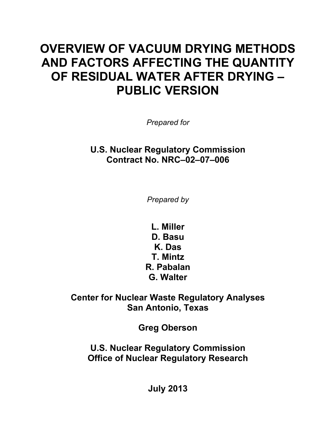# **OVERVIEW OF VACUUM DRYING METHODS AND FACTORS AFFECTING THE QUANTITY OF RESIDUAL WATER AFTER DRYING – PUBLIC VERSION**

*Prepared for* 

**U.S. Nuclear Regulatory Commission Contract No. NRC–02–07–006** 

*Prepared by* 

**L. Miller D. Basu K. Das T. Mintz R. Pabalan G. Walter** 

**Center for Nuclear Waste Regulatory Analyses San Antonio, Texas** 

**Greg Oberson** 

**U.S. Nuclear Regulatory Commission Office of Nuclear Regulatory Research** 

**July 2013**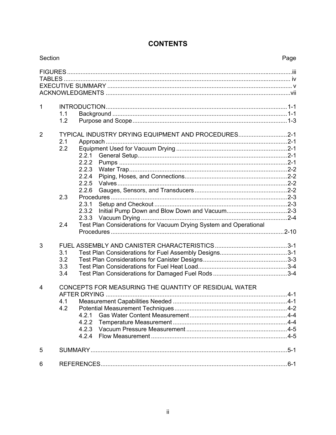| Section        |                                                                                                                | Page |
|----------------|----------------------------------------------------------------------------------------------------------------|------|
|                |                                                                                                                |      |
| $\mathbf{1}$   | 1.1<br>1.2                                                                                                     |      |
| $\overline{2}$ | TYPICAL INDUSTRY DRYING EQUIPMENT AND PROCEDURES2-1<br>2.1<br>2.2<br>2.2.1<br>2.2.2<br>2.2.3<br>2.2.4<br>2.2.5 |      |
|                | 2.2.6<br>2.3<br>2.3.1<br>2.3.2<br>2.3.3                                                                        |      |
|                | Test Plan Considerations for Vacuum Drying System and Operational<br>2.4                                       |      |
| 3              | 3.1<br>3.2<br>3.3<br>3.4                                                                                       |      |
| 4              | CONCEPTS FOR MEASURING THE QUANTITY OF RESIDUAL WATER<br>4.1 Measurement Capabilities Needed.<br>4.2<br>4.2.1  |      |
| 5              |                                                                                                                |      |
| 6              |                                                                                                                |      |

# **CONTENTS**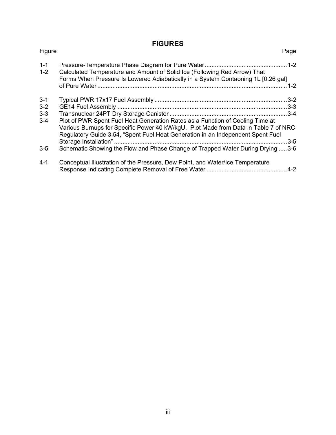## **FIGURES**

| Figure                                            | Page                                                                                                                                                                                                                                                                                                                                               |
|---------------------------------------------------|----------------------------------------------------------------------------------------------------------------------------------------------------------------------------------------------------------------------------------------------------------------------------------------------------------------------------------------------------|
| $1 - 1$<br>$1 - 2$                                | Calculated Temperature and Amount of Solid Ice (Following Red Arrow) That<br>Forms When Pressure Is Lowered Adiabatically in a System Contaoning 1L [0.26 gal]                                                                                                                                                                                     |
| $3 - 1$<br>$3 - 2$<br>$3 - 3$<br>$3 - 4$<br>$3-5$ | Plot of PWR Spent Fuel Heat Generation Rates as a Function of Cooling Time at<br>Various Burnups for Specific Power 40 kW/kgU. Plot Made from Data in Table 7 of NRC<br>Regulatory Guide 3.54, "Spent Fuel Heat Generation in an Independent Spent Fuel<br>$3-5$<br>Schematic Showing the Flow and Phase Change of Trapped Water During Drying 3-6 |
| $4 - 1$                                           | Conceptual Illustration of the Pressure, Dew Point, and Water/Ice Temperature                                                                                                                                                                                                                                                                      |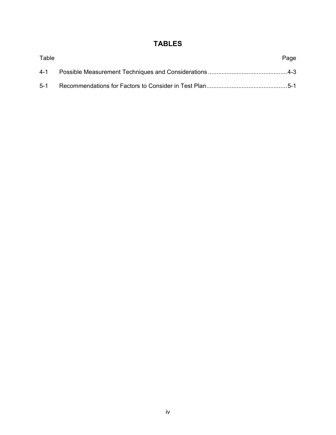# **TABLES**

| Table | Page |  |
|-------|------|--|
|       |      |  |
| $5-1$ |      |  |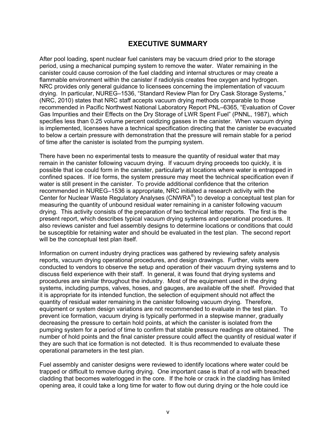#### **EXECUTIVE SUMMARY**

After pool loading, spent nuclear fuel canisters may be vacuum dried prior to the storage period, using a mechanical pumping system to remove the water. Water remaining in the canister could cause corrosion of the fuel cladding and internal structures or may create a flammable environment within the canister if radiolysis creates free oxygen and hydrogen. NRC provides only general guidance to licensees concerning the implementation of vacuum drying. In particular, NUREG–1536, "Standard Review Plan for Dry Cask Storage Systems," (NRC, 2010) states that NRC staff accepts vacuum drying methods comparable to those recommended in Pacific Northwest National Laboratory Report PNL–6365, "Evaluation of Cover Gas Impurities and their Effects on the Dry Storage of LWR Spent Fuel" (PNNL, 1987), which specifies less than 0.25 volume percent oxidizing gasses in the canister. When vacuum drying is implemented, licensees have a technical specification directing that the canister be evacuated to below a certain pressure with demonstration that the pressure will remain stable for a period of time after the canister is isolated from the pumping system.

There have been no experimental tests to measure the quantity of residual water that may remain in the canister following vacuum drying. If vacuum drying proceeds too quickly, it is possible that ice could form in the canister, particularly at locations where water is entrapped in confined spaces. If ice forms, the system pressure may meet the technical specification even if water is still present in the canister. To provide additional confidence that the criterion recommended in NUREG–1536 is appropriate, NRC initiated a research activity with the Center for Nuclear Waste Regulatory Analyses (CNWRA®) to develop a conceptual test plan for measuring the quantity of unbound residual water remaining in a canister following vacuum drying. This activity consists of the preparation of two technical letter reports. The first is the present report, which describes typical vacuum drying systems and operational procedures. It also reviews canister and fuel assembly designs to determine locations or conditions that could be susceptible for retaining water and should be evaluated in the test plan. The second report will be the conceptual test plan itself.

Information on current industry drying practices was gathered by reviewing safety analysis reports, vacuum drying operational procedures, and design drawings. Further, visits were conducted to vendors to observe the setup and operation of their vacuum drying systems and to discuss field experience with their staff. In general, it was found that drying systems and procedures are similar throughout the industry. Most of the equipment used in the drying systems, including pumps, valves, hoses, and gauges, are available off the shelf. Provided that it is appropriate for its intended function, the selection of equipment should not affect the quantity of residual water remaining in the canister following vacuum drying. Therefore, equipment or system design variations are not recommended to evaluate in the test plan. To prevent ice formation, vacuum drying is typically performed in a stepwise manner, gradually decreasing the pressure to certain hold points, at which the canister is isolated from the pumping system for a period of time to confirm that stable pressure readings are obtained. The number of hold points and the final canister pressure could affect the quantity of residual water if they are such that ice formation is not detected. It is thus recommended to evaluate these operational parameters in the test plan.

Fuel assembly and canister designs were reviewed to identify locations where water could be trapped or difficult to remove during drying. One important case is that of a rod with breached cladding that becomes waterlogged in the core. If the hole or crack in the cladding has limited opening area, it could take a long time for water to flow out during drying or the hole could ice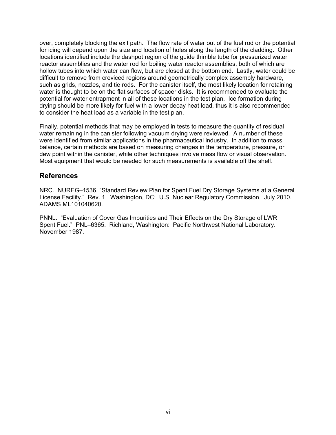over, completely blocking the exit path. The flow rate of water out of the fuel rod or the potential for icing will depend upon the size and location of holes along the length of the cladding. Other locations identified include the dashpot region of the guide thimble tube for pressurized water reactor assemblies and the water rod for boiling water reactor assemblies, both of which are hollow tubes into which water can flow, but are closed at the bottom end. Lastly, water could be difficult to remove from creviced regions around geometrically complex assembly hardware, such as grids, nozzles, and tie rods. For the canister itself, the most likely location for retaining water is thought to be on the flat surfaces of spacer disks. It is recommended to evaluate the potential for water entrapment in all of these locations in the test plan. Ice formation during drying should be more likely for fuel with a lower decay heat load, thus it is also recommended to consider the heat load as a variable in the test plan.

Finally, potential methods that may be employed in tests to measure the quantity of residual water remaining in the canister following vacuum drying were reviewed. A number of these were identified from similar applications in the pharmaceutical industry. In addition to mass balance, certain methods are based on measuring changes in the temperature, pressure, or dew point within the canister, while other techniques involve mass flow or visual observation. Most equipment that would be needed for such measurements is available off the shelf.

#### **References**

NRC. NUREG–1536, "Standard Review Plan for Spent Fuel Dry Storage Systems at a General License Facility." Rev. 1. Washington, DC: U.S. Nuclear Regulatory Commission. July 2010. ADAMS ML101040620.

PNNL. "Evaluation of Cover Gas Impurities and Their Effects on the Dry Storage of LWR Spent Fuel." PNL–6365. Richland, Washington: Pacific Northwest National Laboratory. November 1987.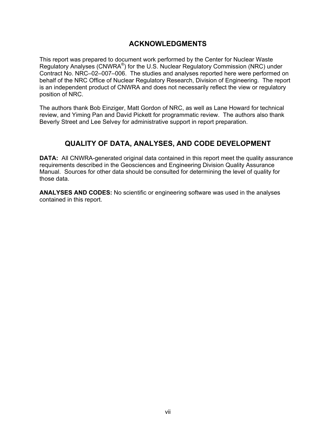### **ACKNOWLEDGMENTS**

This report was prepared to document work performed by the Center for Nuclear Waste Regulatory Analyses (CNWRA®) for the U.S. Nuclear Regulatory Commission (NRC) under Contract No. NRC–02–007–006. The studies and analyses reported here were performed on behalf of the NRC Office of Nuclear Regulatory Research, Division of Engineering. The report is an independent product of CNWRA and does not necessarily reflect the view or regulatory position of NRC.

The authors thank Bob Einziger, Matt Gordon of NRC, as well as Lane Howard for technical review, and Yiming Pan and David Pickett for programmatic review. The authors also thank Beverly Street and Lee Selvey for administrative support in report preparation.

## **QUALITY OF DATA, ANALYSES, AND CODE DEVELOPMENT**

**DATA:** All CNWRA-generated original data contained in this report meet the quality assurance requirements described in the Geosciences and Engineering Division Quality Assurance Manual. Sources for other data should be consulted for determining the level of quality for those data.

**ANALYSES AND CODES:** No scientific or engineering software was used in the analyses contained in this report.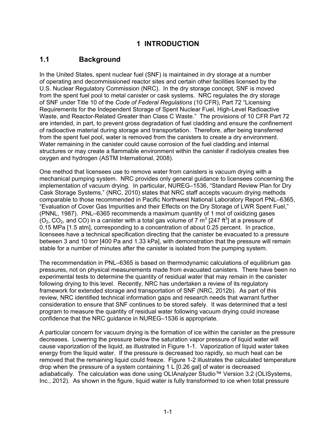## **1 INTRODUCTION**

## **1.1 Background**

In the United States, spent nuclear fuel (SNF) is maintained in dry storage at a number of operating and decommissioned reactor sites and certain other facilities licensed by the U.S. Nuclear Regulatory Commission (NRC). In the dry storage concept, SNF is moved from the spent fuel pool to metal canister or cask systems. NRC regulates the dry storage of SNF under Title 10 of the *Code of Federal Regulations* (10 CFR), Part 72 "Licensing Requirements for the Independent Storage of Spent Nuclear Fuel, High-Level Radioactive Waste, and Reactor-Related Greater than Class C Waste." The provisions of 10 CFR Part 72 are intended, in part, to prevent gross degradation of fuel cladding and ensure the confinement of radioactive material during storage and transportation. Therefore, after being transferred from the spent fuel pool, water is removed from the canisters to create a dry environment. Water remaining in the canister could cause corrosion of the fuel cladding and internal structures or may create a flammable environment within the canister if radiolysis creates free oxygen and hydrogen (ASTM International, 2008).

One method that licensees use to remove water from canisters is vacuum drying with a mechanical pumping system. NRC provides only general guidance to licensees concerning the implementation of vacuum drying. In particular, NUREG–1536, "Standard Review Plan for Dry Cask Storage Systems," (NRC, 2010) states that NRC staff accepts vacuum drying methods comparable to those recommended in Pacific Northwest National Laboratory Report PNL–6365, "Evaluation of Cover Gas Impurities and their Effects on the Dry Storage of LWR Spent Fuel," (PNNL, 1987). PNL–6365 recommends a maximum quantity of 1 mol of oxidizing gases  $(O_2, CO_2,$  and CO) in a canister with a total gas volume of 7  $\text{m}^3$  [247 ft<sup>3</sup>] at a pressure of 0.15 MPa [1.5 atm], corresponding to a concentration of about 0.25 percent. In practice, licensees have a technical specification directing that the canister be evacuated to a pressure between 3 and 10 torr [400 Pa and 1.33 kPa], with demonstration that the pressure will remain stable for a number of minutes after the canister is isolated from the pumping system.

The recommendation in PNL–6365 is based on thermodynamic calculations of equilibrium gas pressures, not on physical measurements made from evacuated canisters. There have been no experimental tests to determine the quantity of residual water that may remain in the canister following drying to this level. Recently, NRC has undertaken a review of its regulatory framework for extended storage and transportation of SNF (NRC, 2012b). As part of this review, NRC identified technical information gaps and research needs that warrant further consideration to ensure that SNF continues to be stored safely. It was determined that a test program to measure the quantity of residual water following vacuum drying could increase confidence that the NRC guidance in NUREG–1536 is appropriate.

A particular concern for vacuum drying is the formation of ice within the canister as the pressure decreases. Lowering the pressure below the saturation vapor pressure of liquid water will cause vaporization of the liquid, as illustrated in Figure 1-1. Vaporization of liquid water takes energy from the liquid water. If the pressure is decreased too rapidly, so much heat can be removed that the remaining liquid could freeze. Figure 1-2 illustrates the calculated temperature drop when the pressure of a system containing 1 L [0.26 gal] of water is decreased adiabatically. The calculation was done using OLIAnalyzer Studio™ Version 3.2 (OLISystems, Inc., 2012). As shown in the figure, liquid water is fully transformed to ice when total pressure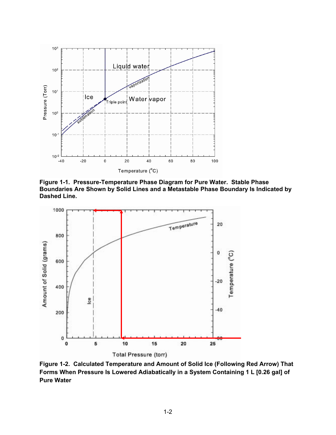

**Figure 1-1. Pressure-Temperature Phase Diagram for Pure Water. Stable Phase Boundaries Are Shown by Solid Lines and a Metastable Phase Boundary Is Indicated by Dashed Line.** 



**Figure 1-2. Calculated Temperature and Amount of Solid Ice (Following Red Arrow) That Forms When Pressure Is Lowered Adiabatically in a System Containing 1 L [0.26 gal] of Pure Water**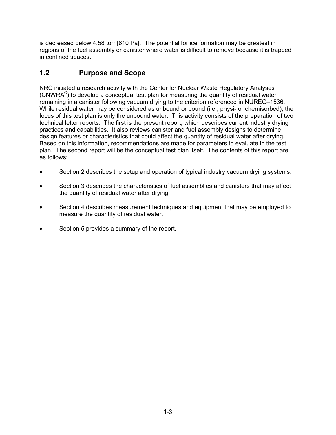is decreased below 4.58 torr [610 Pa]. The potential for ice formation may be greatest in regions of the fuel assembly or canister where water is difficult to remove because it is trapped in confined spaces.

# **1.2 Purpose and Scope**

NRC initiated a research activity with the Center for Nuclear Waste Regulatory Analyses (CNWRA $^{\circ}$ ) to develop a conceptual test plan for measuring the quantity of residual water remaining in a canister following vacuum drying to the criterion referenced in NUREG–1536. While residual water may be considered as unbound or bound (i.e., physi- or chemisorbed), the focus of this test plan is only the unbound water. This activity consists of the preparation of two technical letter reports. The first is the present report, which describes current industry drying practices and capabilities. It also reviews canister and fuel assembly designs to determine design features or characteristics that could affect the quantity of residual water after drying. Based on this information, recommendations are made for parameters to evaluate in the test plan. The second report will be the conceptual test plan itself. The contents of this report are as follows:

- Section 2 describes the setup and operation of typical industry vacuum drying systems.
- Section 3 describes the characteristics of fuel assemblies and canisters that may affect the quantity of residual water after drying.
- Section 4 describes measurement techniques and equipment that may be employed to measure the quantity of residual water.
- Section 5 provides a summary of the report.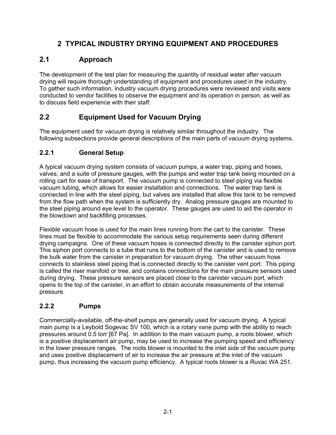# **2 TYPICAL INDUSTRY DRYING EQUIPMENT AND PROCEDURES**

# **2.1 Approach**

The development of the test plan for measuring the quantity of residual water after vacuum drying will require thorough understanding of equipment and procedures used in the industry. To gather such information, industry vacuum drying procedures were reviewed and visits were conducted to vendor facilities to observe the equipment and its operation in person, as well as to discuss field experience with their staff.

# **2.2 Equipment Used for Vacuum Drying**

The equipment used for vacuum drying is relatively similar throughout the industry. The following subsections provide general descriptions of the main parts of vacuum drying systems.

## **2.2.1 General Setup**

A typical vacuum drying system consists of vacuum pumps, a water trap, piping and hoses, valves, and a suite of pressure gauges, with the pumps and water trap tank being mounted on a rolling cart for ease of transport. The vacuum pump is connected to steel piping via flexible vacuum tubing, which allows for easier installation and connections. The water trap tank is connected in line with the steel piping, but valves are installed that allow this tank to be removed from the flow path when the system is sufficiently dry. Analog pressure gauges are mounted to the steel piping around eye level to the operator. These gauges are used to aid the operator in the blowdown and backfilling processes.

Flexible vacuum hose is used for the main lines running from the cart to the canister. These lines must be flexible to accommodate the various setup requirements seen during different drying campaigns. One of these vacuum hoses is connected directly to the canister siphon port. This siphon port connects to a tube that runs to the bottom of the canister and is used to remove the bulk water from the canister in preparation for vacuum drying. The other vacuum hose connects to stainless steel piping that is connected directly to the canister vent port. This piping is called the riser manifold or tree, and contains connections for the main pressure sensors used during drying. These pressure sensors are placed close to the canister vacuum port, which opens to the top of the canister, in an effort to obtain accurate measurements of the internal pressure.

## **2.2.2 Pumps**

Commercially-available, off-the-shelf pumps are generally used for vacuum drying. A typical main pump is a Leybold Sogevac SV 100, which is a rotary vane pump with the ability to reach pressures around 0.5 torr [67 Pa]. In addition to the main vacuum pump, a roots blower, which is a positive displacement air pump, may be used to increase the pumping speed and efficiency in the lower pressure ranges. The roots blower is mounted to the inlet side of the vacuum pump and uses positive displacement of air to increase the air pressure at the inlet of the vacuum pump, thus increasing the vacuum pump efficiency. A typical roots blower is a Ruvac WA 251.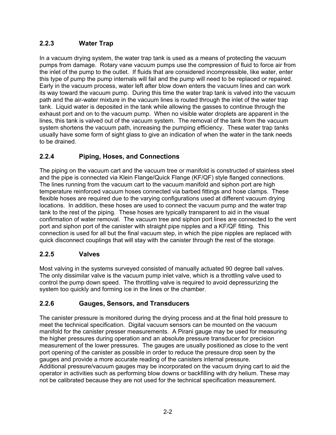## **2.2.3 Water Trap**

In a vacuum drying system, the water trap tank is used as a means of protecting the vacuum pumps from damage. Rotary vane vacuum pumps use the compression of fluid to force air from the inlet of the pump to the outlet. If fluids that are considered incompressible, like water, enter this type of pump the pump internals will fail and the pump will need to be replaced or repaired. Early in the vacuum process, water left after blow down enters the vacuum lines and can work its way toward the vacuum pump. During this time the water trap tank is valved into the vacuum path and the air-water mixture in the vacuum lines is routed through the inlet of the water trap tank. Liquid water is deposited in the tank while allowing the gasses to continue through the exhaust port and on to the vacuum pump. When no visible water droplets are apparent in the lines, this tank is valved out of the vacuum system. The removal of the tank from the vacuum system shortens the vacuum path, increasing the pumping efficiency. These water trap tanks usually have some form of sight glass to give an indication of when the water in the tank needs to be drained.

## **2.2.4 Piping, Hoses, and Connections**

The piping on the vacuum cart and the vacuum tree or manifold is constructed of stainless steel and the pipe is connected via Klein Flange/Quick Flange (KF/QF) style flanged connections. The lines running from the vacuum cart to the vacuum manifold and siphon port are high temperature reinforced vacuum hoses connected via barbed fittings and hose clamps. These flexible hoses are required due to the varying configurations used at different vacuum drying locations. In addition, these hoses are used to connect the vacuum pump and the water trap tank to the rest of the piping. These hoses are typically transparent to aid in the visual confirmation of water removal. The vacuum tree and siphon port lines are connected to the vent port and siphon port of the canister with straight pipe nipples and a KF/QF fitting. This connection is used for all but the final vacuum step, in which the pipe nipples are replaced with quick disconnect couplings that will stay with the canister through the rest of the storage.

## **2.2.5 Valves**

Most valving in the systems surveyed consisted of manually actuated 90 degree ball valves. The only dissimilar valve is the vacuum pump inlet valve, which is a throttling valve used to control the pump down speed. The throttling valve is required to avoid depressurizing the system too quickly and forming ice in the lines or the chamber.

#### **2.2.6 Gauges, Sensors, and Transducers**

The canister pressure is monitored during the drying process and at the final hold pressure to meet the technical specification. Digital vacuum sensors can be mounted on the vacuum manifold for the canister presser measurements. A Pirani gauge may be used for measuring the higher pressures during operation and an absolute pressure transducer for precision measurement of the lower pressures. The gauges are usually positioned as close to the vent port opening of the canister as possible in order to reduce the pressure drop seen by the gauges and provide a more accurate reading of the canisters internal pressure. Additional pressure/vacuum gauges may be incorporated on the vacuum drying cart to aid the operator in activities such as performing blow downs or backfilling with dry helium. These may not be calibrated because they are not used for the technical specification measurement.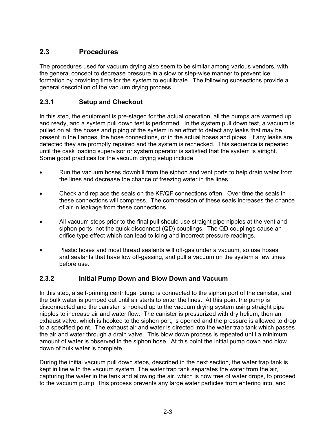## **2.3 Procedures**

The procedures used for vacuum drying also seem to be similar among various vendors, with the general concept to decrease pressure in a slow or step-wise manner to prevent ice formation by providing time for the system to equilibrate. The following subsections provide a general description of the vacuum drying process.

#### **2.3.1 Setup and Checkout**

In this step, the equipment is pre-staged for the actual operation, all the pumps are warmed up and ready, and a system pull down test is performed. In the system pull down test, a vacuum is pulled on all the hoses and piping of the system in an effort to detect any leaks that may be present in the flanges, the hose connections, or in the actual hoses and pipes. If any leaks are detected they are promptly repaired and the system is rechecked. This sequence is repeated until the cask loading supervisor or system operator is satisfied that the system is airtight. Some good practices for the vacuum drying setup include

- Run the vacuum hoses downhill from the siphon and vent ports to help drain water from the lines and decrease the chance of freezing water in the lines.
- Check and replace the seals on the KF/QF connections often. Over time the seals in these connections will compress. The compression of these seals increases the chance of air in leakage from these connections.
- All vacuum steps prior to the final pull should use straight pipe nipples at the vent and siphon ports, not the quick disconnect (QD) couplings. The QD couplings cause an orifice type effect which can lead to icing and incorrect pressure readings.
- Plastic hoses and most thread sealants will off-gas under a vacuum, so use hoses and sealants that have low off-gassing, and pull a vacuum on the system a few times before use.

#### **2.3.2 Initial Pump Down and Blow Down and Vacuum**

In this step, a self-priming centrifugal pump is connected to the siphon port of the canister, and the bulk water is pumped out until air starts to enter the lines. At this point the pump is disconnected and the canister is hooked up to the vacuum drying system using straight pipe nipples to increase air and water flow. The canister is pressurized with dry helium, then an exhaust valve, which is hooked to the siphon port, is opened and the pressure is allowed to drop to a specified point. The exhaust air and water is directed into the water trap tank which passes the air and water through a drain valve. This blow down process is repeated until a minimum amount of water is observed in the siphon hose. At this point the initial pump down and blow down of bulk water is complete.

During the initial vacuum pull down steps, described in the next section, the water trap tank is kept in line with the vacuum system. The water trap tank separates the water from the air, capturing the water in the tank and allowing the air, which is now free of water drops, to proceed to the vacuum pump. This process prevents any large water particles from entering into, and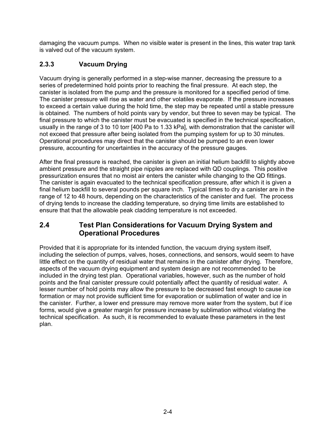damaging the vacuum pumps. When no visible water is present in the lines, this water trap tank is valved out of the vacuum system.

## **2.3.3 Vacuum Drying**

Vacuum drying is generally performed in a step-wise manner, decreasing the pressure to a series of predetermined hold points prior to reaching the final pressure. At each step, the canister is isolated from the pump and the pressure is monitored for a specified period of time. The canister pressure will rise as water and other volatiles evaporate. If the pressure increases to exceed a certain value during the hold time, the step may be repeated until a stable pressure is obtained. The numbers of hold points vary by vendor, but three to seven may be typical. The final pressure to which the canister must be evacuated is specified in the technical specification, usually in the range of 3 to 10 torr [400 Pa to 1.33 kPa], with demonstration that the canister will not exceed that pressure after being isolated from the pumping system for up to 30 minutes. Operational procedures may direct that the canister should be pumped to an even lower pressure, accounting for uncertainties in the accuracy of the pressure gauges.

After the final pressure is reached, the canister is given an initial helium backfill to slightly above ambient pressure and the straight pipe nipples are replaced with QD couplings. This positive pressurization ensures that no moist air enters the canister while changing to the QD fittings. The canister is again evacuated to the technical specification pressure, after which it is given a final helium backfill to several pounds per square inch. Typical times to dry a canister are in the range of 12 to 48 hours, depending on the characteristics of the canister and fuel. The process of drying tends to increase the cladding temperature, so drying time limits are established to ensure that that the allowable peak cladding temperature is not exceeded.

## **2.4 Test Plan Considerations for Vacuum Drying System and Operational Procedures**

Provided that it is appropriate for its intended function, the vacuum drying system itself, including the selection of pumps, valves, hoses, connections, and sensors, would seem to have little effect on the quantity of residual water that remains in the canister after drying. Therefore, aspects of the vacuum drying equipment and system design are not recommended to be included in the drying test plan. Operational variables, however, such as the number of hold points and the final canister pressure could potentially affect the quantity of residual water. A lesser number of hold points may allow the pressure to be decreased fast enough to cause ice formation or may not provide sufficient time for evaporation or sublimation of water and ice in the canister. Further, a lower end pressure may remove more water from the system, but if ice forms, would give a greater margin for pressure increase by sublimation without violating the technical specification. As such, it is recommended to evaluate these parameters in the test plan.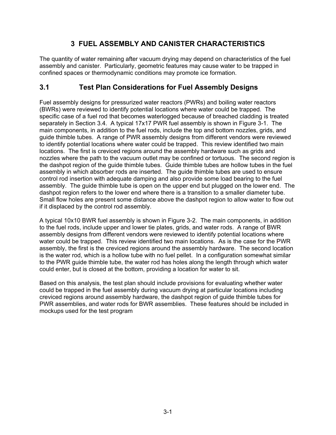## **3 FUEL ASSEMBLY AND CANISTER CHARACTERISTICS**

The quantity of water remaining after vacuum drying may depend on characteristics of the fuel assembly and canister. Particularly, geometric features may cause water to be trapped in confined spaces or thermodynamic conditions may promote ice formation.

## **3.1 Test Plan Considerations for Fuel Assembly Designs**

Fuel assembly designs for pressurized water reactors (PWRs) and boiling water reactors (BWRs) were reviewed to identify potential locations where water could be trapped. The specific case of a fuel rod that becomes waterlogged because of breached cladding is treated separately in Section 3.4.A typical 17x17 PWR fuel assembly is shown in Figure 3-1. The main components, in addition to the fuel rods, include the top and bottom nozzles, grids, and guide thimble tubes. A range of PWR assembly designs from different vendors were reviewed to identify potential locations where water could be trapped. This review identified two main locations. The first is creviced regions around the assembly hardware such as grids and nozzles where the path to the vacuum outlet may be confined or tortuous. The second region is the dashpot region of the guide thimble tubes. Guide thimble tubes are hollow tubes in the fuel assembly in which absorber rods are inserted. The guide thimble tubes are used to ensure control rod insertion with adequate damping and also provide some load bearing to the fuel assembly. The guide thimble tube is open on the upper end but plugged on the lower end. The dashpot region refers to the lower end where there is a transition to a smaller diameter tube. Small flow holes are present some distance above the dashpot region to allow water to flow out if it displaced by the control rod assembly.

A typical 10x10 BWR fuel assembly is shown in Figure 3-2. The main components, in addition to the fuel rods, include upper and lower tie plates, grids, and water rods. A range of BWR assembly designs from different vendors were reviewed to identify potential locations where water could be trapped. This review identified two main locations. As is the case for the PWR assembly, the first is the creviced regions around the assembly hardware. The second location is the water rod, which is a hollow tube with no fuel pellet. In a configuration somewhat similar to the PWR guide thimble tube, the water rod has holes along the length through which water could enter, but is closed at the bottom, providing a location for water to sit.

Based on this analysis, the test plan should include provisions for evaluating whether water could be trapped in the fuel assembly during vacuum drying at particular locations including creviced regions around assembly hardware, the dashpot region of guide thimble tubes for PWR assemblies, and water rods for BWR assemblies. These features should be included in mockups used for the test program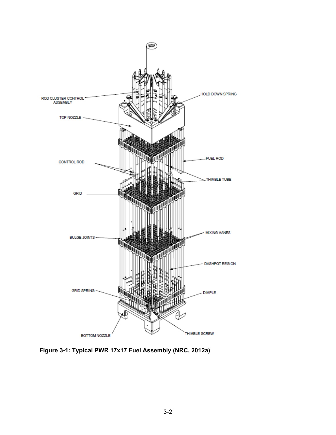

**Figure 3-1: Typical PWR 17x17 Fuel Assembly (NRC, 2012a)**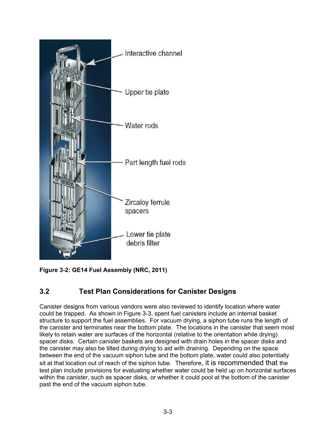



# **3.2 Test Plan Considerations for Canister Designs**

Canister designs from various vendors were also reviewed to identify location where water could be trapped. As shown in Figure 3-3, spent fuel canisters include an internal basket structure to support the fuel assemblies. For vacuum drying, a siphon tube runs the length of the canister and terminates near the bottom plate. The locations in the canister that seem most likely to retain water are surfaces of the horizontal (relative to the orientation while drying) spacer disks. Certain canister baskets are designed with drain holes in the spacer disks and the canister may also be tilted during drying to aid with draining. Depending on the space between the end of the vacuum siphon tube and the bottom plate, water could also potentially sit at that location out of reach of the siphon tube.Therefore, it is recommended that the test plan include provisions for evaluating whether water could be held up on horizontal surfaces within the canister, such as spacer disks, or whether it could pool at the bottom of the canister past the end of the vacuum siphon tube.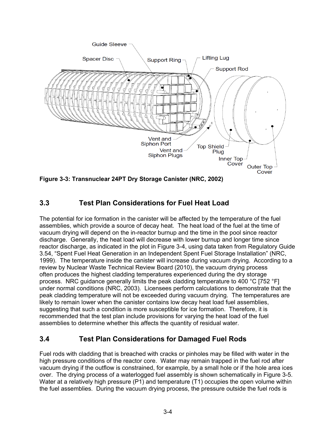

**Figure 3-3: Transnuclear 24PT Dry Storage Canister (NRC, 2002)** 

# **3.3 Test Plan Considerations for Fuel Heat Load**

The potential for ice formation in the canister will be affected by the temperature of the fuel assemblies, which provide a source of decay heat. The heat load of the fuel at the time of vacuum drying will depend on the in-reactor burnup and the time in the pool since reactor discharge. Generally, the heat load will decrease with lower burnup and longer time since reactor discharge, as indicated in the plot in Figure 3-4, using data taken from Regulatory Guide 3.54, "Spent Fuel Heat Generation in an Independent Spent Fuel Storage Installation" (NRC, 1999). The temperature inside the canister will increase during vacuum drying. According to a review by Nuclear Waste Technical Review Board (2010), the vacuum drying process often produces the highest cladding temperatures experienced during the dry storage process. NRC guidance generally limits the peak cladding temperature to 400 °C [752 °F] under normal conditions (NRC, 2003). Licensees perform calculations to demonstrate that the peak cladding temperature will not be exceeded during vacuum drying. The temperatures are likely to remain lower when the canister contains low decay heat load fuel assemblies, suggesting that such a condition is more susceptible for ice formation. Therefore, it is recommended that the test plan include provisions for varying the heat load of the fuel assemblies to determine whether this affects the quantity of residual water.

## **3.4 Test Plan Considerations for Damaged Fuel Rods**

Fuel rods with cladding that is breached with cracks or pinholes may be filled with water in the high pressure conditions of the reactor core. Water may remain trapped in the fuel rod after vacuum drying if the outflow is constrained, for example, by a small hole or if the hole area ices over. The drying process of a waterlogged fuel assembly is shown schematically in Figure 3-5. Water at a relatively high pressure (P1) and temperature (T1) occupies the open volume within the fuel assemblies. During the vacuum drying process, the pressure outside the fuel rods is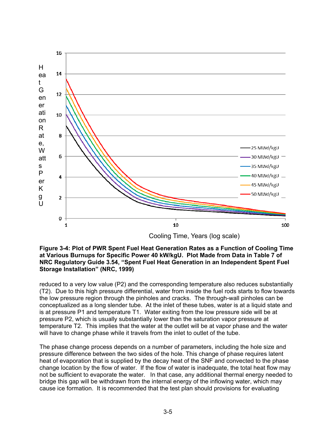

Cooling Time, Years (log scale)

#### **Figure 3-4: Plot of PWR Spent Fuel Heat Generation Rates as a Function of Cooling Time at Various Burnups for Specific Power 40 kW/kgU. Plot Made from Data in Table 7 of NRC Regulatory Guide 3.54, "Spent Fuel Heat Generation in an Independent Spent Fuel Storage Installation" (NRC, 1999)**

reduced to a very low value (P2) and the corresponding temperature also reduces substantially (T2). Due to this high pressure differential, water from inside the fuel rods starts to flow towards the low pressure region through the pinholes and cracks. The through-wall pinholes can be conceptualized as a long slender tube. At the inlet of these tubes, water is at a liquid state and is at pressure P1 and temperature T1. Water exiting from the low pressure side will be at pressure P2, which is usually substantially lower than the saturation vapor pressure at temperature T2. This implies that the water at the outlet will be at vapor phase and the water will have to change phase while it travels from the inlet to outlet of the tube.

The phase change process depends on a number of parameters, including the hole size and pressure difference between the two sides of the hole. This change of phase requires latent heat of evaporation that is supplied by the decay heat of the SNF and convected to the phase change location by the flow of water. If the flow of water is inadequate, the total heat flow may not be sufficient to evaporate the water. In that case, any additional thermal energy needed to bridge this gap will be withdrawn from the internal energy of the inflowing water, which may cause ice formation. It is recommended that the test plan should provisions for evaluating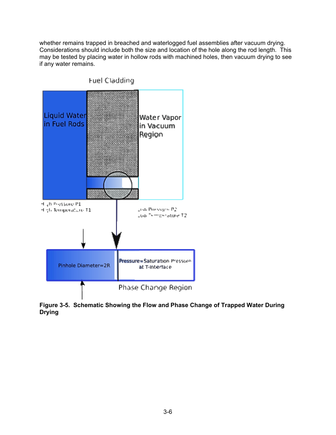whether remains trapped in breached and waterlogged fuel assemblies after vacuum drying. Considerations should include both the size and location of the hole along the rod length. This may be tested by placing water in hollow rods with machined holes, then vacuum drying to see if any water remains.



**Figure 3-5. Schematic Showing the Flow and Phase Change of Trapped Water During Drying**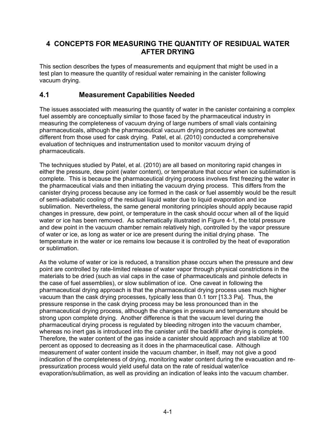## **4 CONCEPTS FOR MEASURING THE QUANTITY OF RESIDUAL WATER AFTER DRYING**

This section describes the types of measurements and equipment that might be used in a test plan to measure the quantity of residual water remaining in the canister following vacuum drying.

## **4.1 Measurement Capabilities Needed**

The issues associated with measuring the quantity of water in the canister containing a complex fuel assembly are conceptually similar to those faced by the pharmaceutical industry in measuring the completeness of vacuum drying of large numbers of small vials containing pharmaceuticals, although the pharmaceutical vacuum drying procedures are somewhat different from those used for cask drying. Patel, et al. (2010) conducted a comprehensive evaluation of techniques and instrumentation used to monitor vacuum drying of pharmaceuticals.

The techniques studied by Patel, et al. (2010) are all based on monitoring rapid changes in either the pressure, dew point (water content), or temperature that occur when ice sublimation is complete. This is because the pharmaceutical drying process involves first freezing the water in the pharmaceutical vials and then initiating the vacuum drying process. This differs from the canister drying process because any ice formed in the cask or fuel assembly would be the result of semi-adiabatic cooling of the residual liquid water due to liquid evaporation and ice sublimation. Nevertheless, the same general monitoring principles should apply because rapid changes in pressure, dew point, or temperature in the cask should occur when all of the liquid water or ice has been removed. As schematically illustrated in Figure 4-1, the total pressure and dew point in the vacuum chamber remain relatively high, controlled by the vapor pressure of water or ice, as long as water or ice are present during the initial drying phase. The temperature in the water or ice remains low because it is controlled by the heat of evaporation or sublimation.

As the volume of water or ice is reduced, a transition phase occurs when the pressure and dew point are controlled by rate-limited release of water vapor through physical constrictions in the materials to be dried (such as vial caps in the case of pharmaceuticals and pinhole defects in the case of fuel assemblies), or slow sublimation of ice. One caveat in following the pharmaceutical drying approach is that the pharmaceutical drying process uses much higher vacuum than the cask drying processes, typically less than 0.1 torr [13.3 Pa]. Thus, the pressure response in the cask drying process may be less pronounced than in the pharmaceutical drying process, although the changes in pressure and temperature should be strong upon complete drying. Another difference is that the vacuum level during the pharmaceutical drying process is regulated by bleeding nitrogen into the vacuum chamber, whereas no inert gas is introduced into the canister until the backfill after drying is complete. Therefore, the water content of the gas inside a canister should approach and stabilize at 100 percent as opposed to decreasing as it does in the pharmaceutical case. Although measurement of water content inside the vacuum chamber, in itself, may not give a good indication of the completeness of drying, monitoring water content during the evacuation and repressurization process would yield useful data on the rate of residual water/ice evaporation/sublimation, as well as providing an indication of leaks into the vacuum chamber.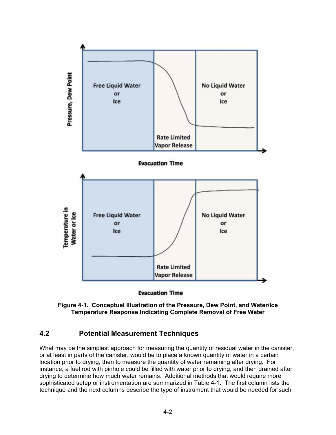

**Evacuation Time** 

**Figure 4-1. Conceptual Illustration of the Pressure, Dew Point, and Water/Ice Temperature Response Indicating Complete Removal of Free Water** 

#### **4.2 Potential Measurement Techniques**

What may be the simplest approach for measuring the quantity of residual water in the canister, or at least in parts of the canister, would be to place a known quantity of water in a certain location prior to drying, then to measure the quantity of water remaining after drying. For instance, a fuel rod with pinhole could be filled with water prior to drying, and then drained after drying to determine how much water remains. Additional methods that would require more sophisticated setup or instrumentation are summarized in Table 4-1. The first column lists the technique and the next columns describe the type of instrument that would be needed for such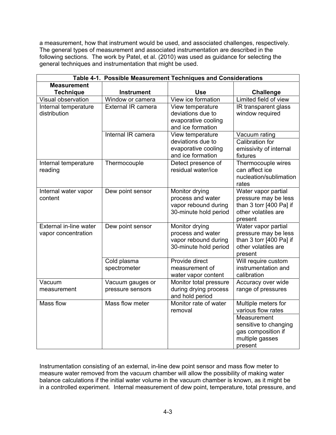a measurement, how that instrument would be used, and associated challenges, respectively. The general types of measurement and associated instrumentation are described in the following sections. The work by Patel, et al. (2010) was used as guidance for selecting the general techniques and instrumentation that might be used.

| Table 4-1. Possible Measurement Techniques and Considerations |                    |                                               |                                                |  |  |
|---------------------------------------------------------------|--------------------|-----------------------------------------------|------------------------------------------------|--|--|
| <b>Measurement</b>                                            |                    |                                               |                                                |  |  |
| <b>Technique</b>                                              | <b>Instrument</b>  | <b>Use</b>                                    | <b>Challenge</b>                               |  |  |
| Visual observation                                            | Window or camera   | View ice formation                            | Limited field of view                          |  |  |
| Internal temperature                                          | External IR camera | View temperature                              | IR transparent glass                           |  |  |
| distribution                                                  |                    | deviations due to                             | window required                                |  |  |
|                                                               |                    | evaporative cooling                           |                                                |  |  |
|                                                               |                    | and ice formation                             |                                                |  |  |
|                                                               | Internal IR camera | View temperature                              | Vacuum rating                                  |  |  |
|                                                               |                    | deviations due to                             | <b>Calibration for</b>                         |  |  |
|                                                               |                    | evaporative cooling                           | emissivity of internal                         |  |  |
|                                                               |                    | and ice formation                             | fixtures                                       |  |  |
| Internal temperature                                          | Thermocouple       | Detect presence of                            | Thermocouple wires                             |  |  |
| reading                                                       |                    | residual water/ice                            | can affect ice                                 |  |  |
|                                                               |                    |                                               | nucleation/sublimation                         |  |  |
|                                                               |                    |                                               | rates                                          |  |  |
| Internal water vapor                                          | Dew point sensor   | Monitor drying                                | Water vapor partial                            |  |  |
| content                                                       |                    | process and water                             | pressure may be less                           |  |  |
|                                                               |                    | vapor rebound during<br>30-minute hold period | than 3 torr [400 Pa] if<br>other volatiles are |  |  |
|                                                               |                    |                                               | present                                        |  |  |
| External in-line water                                        | Dew point sensor   | Monitor drying                                | Water vapor partial                            |  |  |
| vapor concentration                                           |                    | process and water                             | pressure may be less                           |  |  |
|                                                               |                    | vapor rebound during                          | than 3 torr [400 Pa] if                        |  |  |
|                                                               |                    | 30-minute hold period                         | other volatiles are                            |  |  |
|                                                               |                    |                                               | present                                        |  |  |
|                                                               | Cold plasma        | Provide direct                                | Will require custom                            |  |  |
|                                                               | spectrometer       | measurement of                                | instrumentation and                            |  |  |
|                                                               |                    | water vapor content                           | calibration                                    |  |  |
| Vacuum                                                        | Vacuum gauges or   | Monitor total pressure                        | Accuracy over wide                             |  |  |
| measurement                                                   | pressure sensors   | during drying process                         | range of pressures                             |  |  |
|                                                               |                    | and hold period                               |                                                |  |  |
| <b>Mass flow</b>                                              | Mass flow meter    | Monitor rate of water                         | Multiple meters for                            |  |  |
|                                                               |                    | removal                                       | various flow rates                             |  |  |
|                                                               |                    |                                               | Measurement                                    |  |  |
|                                                               |                    |                                               | sensitive to changing                          |  |  |
|                                                               |                    |                                               | gas composition if                             |  |  |
|                                                               |                    |                                               | multiple gasses                                |  |  |
|                                                               |                    |                                               | present                                        |  |  |

Instrumentation consisting of an external, in-line dew point sensor and mass flow meter to measure water removed from the vacuum chamber will allow the possibility of making water balance calculations if the initial water volume in the vacuum chamber is known, as it might be in a controlled experiment. Internal measurement of dew point, temperature, total pressure, and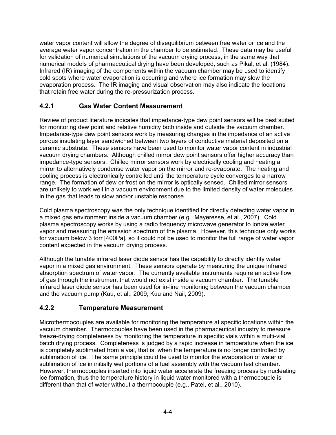water vapor content will allow the degree of disequilibrium between free water or ice and the average water vapor concentration in the chamber to be estimated. These data may be useful for validation of numerical simulations of the vacuum drying process, in the same way that numerical models of pharmaceutical drying have been developed, such as Pikal, et al. (1984). Infrared (IR) imaging of the components within the vacuum chamber may be used to identify cold spots where water evaporation is occurring and where ice formation may slow the evaporation process. The IR imaging and visual observation may also indicate the locations that retain free water during the re-pressurization process.

### **4.2.1 Gas Water Content Measurement**

Review of product literature indicates that impedance-type dew point sensors will be best suited for monitoring dew point and relative humidity both inside and outside the vacuum chamber. Impedance-type dew point sensors work by measuring changes in the impedance of an active porous insulating layer sandwiched between two layers of conductive material deposited on a ceramic substrate. These sensors have been used to monitor water vapor content in industrial vacuum drying chambers. Although chilled mirror dew point sensors offer higher accuracy than impedance-type sensors. Chilled mirror sensors work by electrically cooling and heating a mirror to alternatively condense water vapor on the mirror and re-evaporate. The heating and cooling process is electronically controlled until the temperature cycle converges to a narrow range. The formation of dew or frost on the mirror is optically sensed. Chilled mirror sensors are unlikely to work well in a vacuum environment due to the limited density of water molecules in the gas that leads to slow and/or unstable response.

Cold plasma spectroscopy was the only technique identified for directly detecting water vapor in a mixed gas environment inside a vacuum chamber (e.g., Mayeresse, et al., 2007). Cold plasma spectroscopy works by using a radio frequency microwave generator to ionize water vapor and measuring the emission spectrum of the plasma. However, this technique only works for vacuum below 3 torr [400Pa], so it could not be used to monitor the full range of water vapor content expected in the vacuum drying process.

Although the tunable infrared laser diode sensor has the capability to directly identify water vapor in a mixed gas environment. These sensors operate by measuring the unique infrared absorption spectrum of water vapor. The currently available instruments require an active flow of gas through the instrument that would not exist inside a vacuum chamber. The tunable infrared laser diode sensor has been used for in-line monitoring between the vacuum chamber and the vacuum pump (Kuu, et al., 2009; Kuu and Nail, 2009).

## **4.2.2 Temperature Measurement**

Microthermocouples are available for monitoring the temperature at specific locations within the vacuum chamber. Thermocouples have been used in the pharmaceutical industry to measure freeze-drying completeness by monitoring the temperature in specific vials within a multi-vial batch drying process. Completeness is judged by a rapid increase in temperature when the ice is completely sublimated from a vial, that is, when the temperature is no longer controlled by sublimation of ice. The same principle could be used to monitor the evaporation of water or sublimation of ice in initially wet portions of a fuel assembly with the vacuum test chamber. However, thermocouples inserted into liquid water accelerate the freezing process by nucleating ice formation, thus the temperature history in liquid water monitored with a thermocouple is different than that of water without a thermocouple (e.g., Patel, et al., 2010).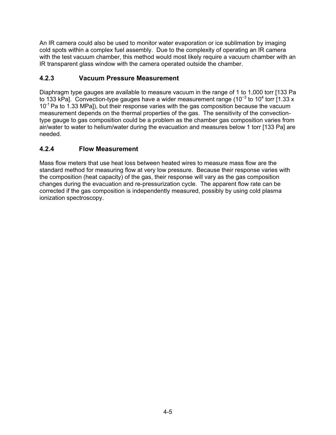An IR camera could also be used to monitor water evaporation or ice sublimation by imaging cold spots within a complex fuel assembly. Due to the complexity of operating an IR camera with the test vacuum chamber, this method would most likely require a vacuum chamber with an IR transparent glass window with the camera operated outside the chamber.

## **4.2.3 Vacuum Pressure Measurement**

Diaphragm type gauges are available to measure vacuum in the range of 1 to 1,000 torr [133 Pa to 133 kPa]. Convection-type gauges have a wider measurement range (10<sup>-3</sup> to 10<sup>4</sup> torr [1.33 x  $10^{-1}$  Pa to 1.33 MPa]), but their response varies with the gas composition because the vacuum measurement depends on the thermal properties of the gas. The sensitivity of the convectiontype gauge to gas composition could be a problem as the chamber gas composition varies from air/water to water to helium/water during the evacuation and measures below 1 torr [133 Pa] are needed.

## **4.2.4 Flow Measurement**

Mass flow meters that use heat loss between heated wires to measure mass flow are the standard method for measuring flow at very low pressure. Because their response varies with the composition (heat capacity) of the gas, their response will vary as the gas composition changes during the evacuation and re-pressurization cycle. The apparent flow rate can be corrected if the gas composition is independently measured, possibly by using cold plasma ionization spectroscopy.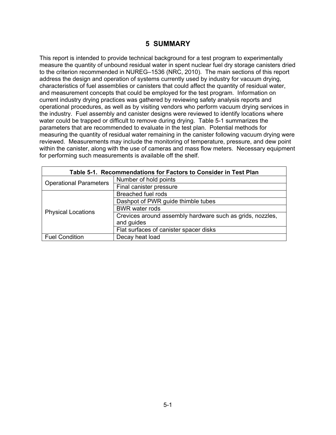#### **5 SUMMARY**

This report is intended to provide technical background for a test program to experimentally measure the quantity of unbound residual water in spent nuclear fuel dry storage canisters dried to the criterion recommended in NUREG–1536 (NRC, 2010). The main sections of this report address the design and operation of systems currently used by industry for vacuum drying, characteristics of fuel assemblies or canisters that could affect the quantity of residual water, and measurement concepts that could be employed for the test program. Information on current industry drying practices was gathered by reviewing safety analysis reports and operational procedures, as well as by visiting vendors who perform vacuum drying services in the industry. Fuel assembly and canister designs were reviewed to identify locations where water could be trapped or difficult to remove during drying. Table 5-1 summarizes the parameters that are recommended to evaluate in the test plan. Potential methods for measuring the quantity of residual water remaining in the canister following vacuum drying were reviewed. Measurements may include the monitoring of temperature, pressure, and dew point within the canister, along with the use of cameras and mass flow meters. Necessary equipment for performing such measurements is available off the shelf.

| Table 5-1. Recommendations for Factors to Consider in Test Plan |                                                           |  |  |  |
|-----------------------------------------------------------------|-----------------------------------------------------------|--|--|--|
| <b>Operational Parameters</b>                                   | Number of hold points                                     |  |  |  |
|                                                                 | Final canister pressure                                   |  |  |  |
|                                                                 | Breached fuel rods                                        |  |  |  |
|                                                                 | Dashpot of PWR guide thimble tubes                        |  |  |  |
| <b>Physical Locations</b>                                       | <b>BWR</b> water rods                                     |  |  |  |
|                                                                 | Crevices around assembly hardware such as grids, nozzles, |  |  |  |
|                                                                 | and guides                                                |  |  |  |
|                                                                 | Flat surfaces of canister spacer disks                    |  |  |  |
| <b>Fuel Condition</b>                                           | Decay heat load                                           |  |  |  |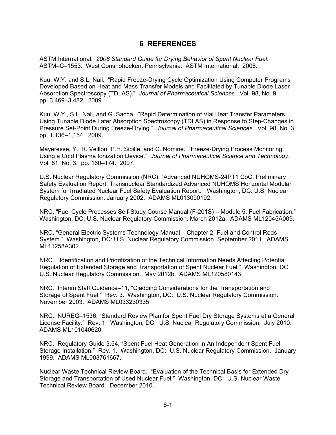#### **6 REFERENCES**

ASTM International. *2008 Standard Guide for Drying Behavior of Spent Nuclear Fuel*. ASTM–C–1553. West Conshohocken, Pennsylvania: ASTM International. 2008.

Kuu, W.Y. and S.L. Nail. "Rapid Freeze-Drying Cycle Optimization Using Computer Programs Developed Based on Heat and Mass Transfer Models and Facilitated by Tunable Diode Laser Absorption Spectroscopy (TDLAS)." *Journal of Pharmaceutical Sciences*. Vol. 98, No. 9. pp. 3,469–3,482. 2009.

Kuu, W.Y., S.L. Nail, and G. Sacha. "Rapid Determination of Vial Heat Transfer Parameters Using Tunable Diode Later Absorption Spectroscopy (TDLAS) in Response to Step-Changes in Pressure Set-Point During Freeze-Drying." *Journal of Pharmaceutical Sciences.* Vol. 98, No. 3. pp. 1,136–1,154. 2009.

Mayeresse, Y., R. Veillon, P.H. Sibille, and C. Nomine. "Freeze-Drying Process Monitoring Using a Cold Plasma Ionization Device." *Journal of Pharmaceutical Science and Technology*. Vol. 61, No. 3. pp. 160–174. 2007.

U.S. Nuclear Regulatory Commission (NRC), "Advanced NUHOMS-24PT1 CoC, Preliminary Safety Evaluation Report, Transnuclear Standardized Advanced NUHOMS Horizontal Modular System for Irradiated Nuclear Fuel Safety Evaluation Report." Washington, DC: U.S. Nuclear Regulatory Commission. January 2002. ADAMS ML013090192.

NRC, "Fuel Cycle Processes Self-Study Course Manual (F-201S) – Module 5: Fuel Fabrication." Washington, DC: U.S. Nuclear Regulatory Commission. March 2012a. ADAMS ML12045A009.

NRC, "General Electric Systems Technology Manual – Chapter 2: Fuel and Control Rods System." Washington, DC: U.S. Nuclear Regulatory Commission. September 2011. ADAMS ML11258A302.

NRC. "Identification and Prioritization of the Technical Information Needs Affecting Potential Regulation of Extended Storage and Transportation of Spent Nuclear Fuel." Washington, DC: U.S. Nuclear Regulatory Commission. May 2012b. ADAMS ML120580143.

NRC. Interim Staff Guidance–11, "Cladding Considerations for the Transportation and Storage of Spent Fuel." Rev. 3. Washington, DC: U.S. Nuclear Regulatory Commission. November 2003. ADAMS ML033230335.

NRC. NUREG–1536, "Standard Review Plan for Spent Fuel Dry Storage Systems at a General License Facility." Rev. 1. Washington, DC: U.S. Nuclear Regulatory Commission. July 2010. ADAMS ML101040620.

NRC. Regulatory Guide 3.54, "Spent Fuel Heat Generation In An Independent Spent Fuel Storage Installation." Rev. 1. Washington, DC: U.S. Nuclear Regulatory Commission. January 1999. ADAMS ML003761667.

Nuclear Waste Technical Review Board. "Evaluation of the Technical Basis for Extended Dry Storage and Transportation of Used Nuclear Fuel." Washington, DC: U.S. Nuclear Waste Technical Review Board. December 2010.